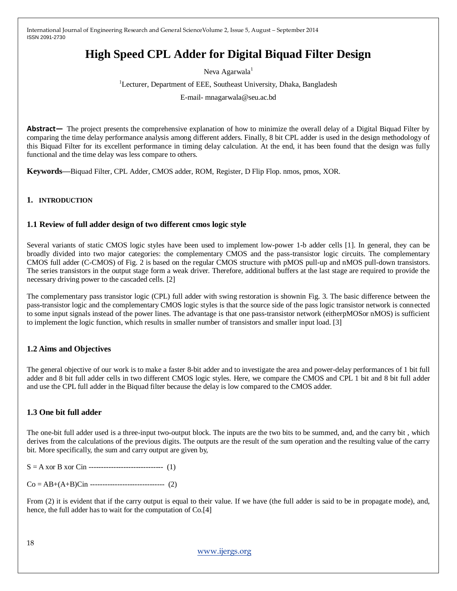# **High Speed CPL Adder for Digital Biquad Filter Design**

Neva Agarwala<sup>1</sup>

<sup>1</sup>Lecturer, Department of EEE, Southeast University, Dhaka, Bangladesh

E-mail- mnagarwala@seu.ac.bd

**Abstract—** The project presents the comprehensive explanation of how to minimize the overall delay of a Digital Biquad Filter by comparing the time delay performance analysis among different adders. Finally, 8 bit CPL adder is used in the design methodology of this Biquad Filter for its excellent performance in timing delay calculation. At the end, it has been found that the design was fully functional and the time delay was less compare to others.

**Keywords—**Biquad Filter, CPL Adder, CMOS adder, ROM, Register, D Flip Flop. nmos, pmos, XOR.

#### **1. INTRODUCTION**

### **1.1 Review of full adder design of two different cmos logic style**

Several variants of static CMOS logic styles have been used to implement low-power 1-b adder cells [1]. In general, they can be broadly divided into two major categories: the complementary CMOS and the pass-transistor logic circuits. The complementary CMOS full adder (C-CMOS) of Fig. 2 is based on the regular CMOS structure with pMOS pull-up and nMOS pull-down transistors. The series transistors in the output stage form a weak driver. Therefore, additional buffers at the last stage are required to provide the necessary driving power to the cascaded cells. [2]

The complementary pass transistor logic (CPL) full adder with swing restoration is shownin Fig. 3. The basic difference between the pass-transistor logic and the complementary CMOS logic styles is that the source side of the pass logic transistor network is connected to some input signals instead of the power lines. The advantage is that one pass-transistor network (eitherpMOSor nMOS) is sufficient to implement the logic function, which results in smaller number of transistors and smaller input load. [3]

# **1.2 Aims and Objectives**

The general objective of our work is to make a faster 8-bit adder and to investigate the area and power-delay performances of 1 bit full adder and 8 bit full adder cells in two different CMOS logic styles. Here, we compare the CMOS and CPL 1 bit and 8 bit full adder and use the CPL full adder in the Biquad filter because the delay is low compared to the CMOS adder.

# **1.3 One bit full adder**

The one-bit full adder used is a three-input two-output block. The inputs are the two bits to be summed, and, and the carry bit , which derives from the calculations of the previous digits. The outputs are the result of the sum operation and the resulting value of the carry bit. More specifically, the sum and carry output are given by,

S = A xor B xor Cin ------------------------------ (1)

Co = AB+(A+B)Cin ------------------------------ (2)

From (2) it is evident that if the carry output is equal to their value. If we have (the full adder is said to be in propagate mode), and, hence, the full adder has to wait for the computation of Co.[4]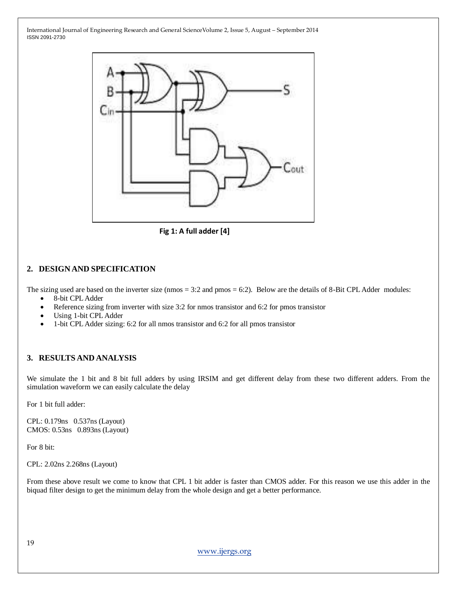

**Fig 1: A full adder [4]**

# **2. DESIGN AND SPECIFICATION**

The sizing used are based on the inverter size (nmos = 3:2 and pmos = 6:2). Below are the details of 8-Bit CPL Adder modules:

- 8-bit CPL Adder
- Reference sizing from inverter with size 3:2 for nmos transistor and 6:2 for pmos transistor
- Using 1-bit CPL Adder
- 1-bit CPL Adder sizing: 6:2 for all nmos transistor and 6:2 for all pmos transistor

#### **3. RESULTS AND ANALYSIS**

We simulate the 1 bit and 8 bit full adders by using IRSIM and get different delay from these two different adders. From the simulation waveform we can easily calculate the delay

For 1 bit full adder:

CPL: 0.179ns 0.537ns (Layout) CMOS: 0.53ns 0.893ns (Layout)

For 8 bit:

CPL: 2.02ns 2.268ns (Layout)

From these above result we come to know that CPL 1 bit adder is faster than CMOS adder. For this reason we use this adder in the biquad filter design to get the minimum delay from the whole design and get a better performance.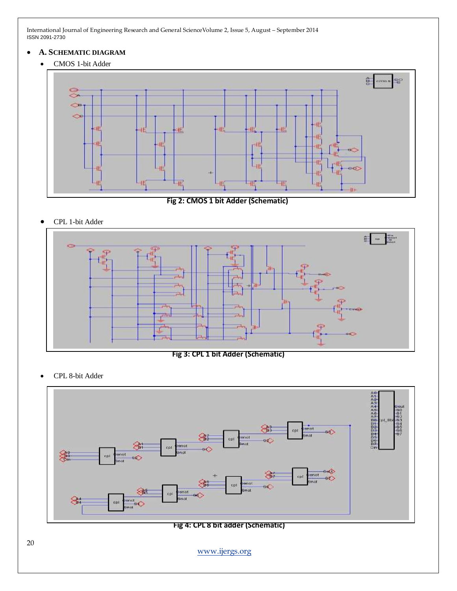#### **A. SCHEMATIC DIAGRAM**

CMOS 1-bit Adder



 **Fig 2: CMOS 1 bit Adder (Schematic)**

CPL 1-bit Adder



**Fig 3: CPL 1 bit Adder (Schematic)**

CPL 8-bit Adder



**Fig 4: CPL 8 bit adder (Schematic)**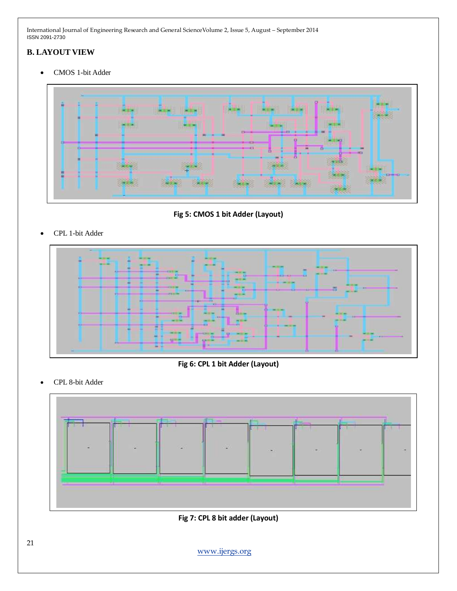# **B. LAYOUT VIEW**

CMOS 1-bit Adder



**Fig 5: CMOS 1 bit Adder (Layout)**

CPL 1-bit Adder



**Fig 6: CPL 1 bit Adder (Layout)**

CPL 8-bit Adder



**Fig 7: CPL 8 bit adder (Layout)**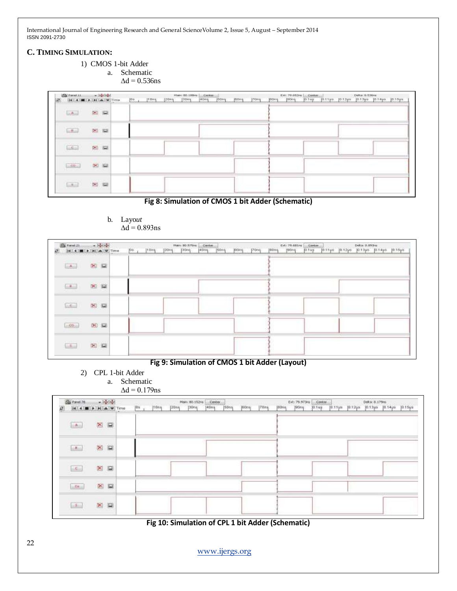#### **C. TIMING SIMULATION:**

1) CMOS 1-bit Adder

a. Schematic

 $\Delta d = 0.536$ ns

| Geral LL                            | as indefined                                                                                                                                                                                                                                                                                                                                                    |                          | Villages)<br>00.188m<br>Certain |                                      | $\frac{Critm}{101up}$ | DeRac 9/536mg                           |
|-------------------------------------|-----------------------------------------------------------------------------------------------------------------------------------------------------------------------------------------------------------------------------------------------------------------------------------------------------------------------------------------------------------------|--------------------------|---------------------------------|--------------------------------------|-----------------------|-----------------------------------------|
| ø                                   | <b>Mission Prime</b>                                                                                                                                                                                                                                                                                                                                            | <b>Love</b><br>$109 - 1$ | 1000<br>340119<br>1001          | Icony<br><b>PSUng</b><br><b>Rong</b> | 100nq<br>joong.       | 30.11ps 10.12ps 10.13ps 10.14ps 10.14ps |
| $\left  \frac{1}{1-\alpha} \right $ | <b>SALE</b><br>$\approx$ $\approx$                                                                                                                                                                                                                                                                                                                              |                          |                                 |                                      |                       |                                         |
| $\mathbb{R}^n$                      | $\approx$                                                                                                                                                                                                                                                                                                                                                       |                          |                                 |                                      |                       |                                         |
| $\sim$                              | $\frac{1}{2} \sum_{i=1}^{n} \frac{1}{2} \sum_{j=1}^{n} \frac{1}{2} \sum_{j=1}^{n} \frac{1}{2} \sum_{j=1}^{n} \frac{1}{2} \sum_{j=1}^{n} \frac{1}{2} \sum_{j=1}^{n} \frac{1}{2} \sum_{j=1}^{n} \frac{1}{2} \sum_{j=1}^{n} \frac{1}{2} \sum_{j=1}^{n} \frac{1}{2} \sum_{j=1}^{n} \frac{1}{2} \sum_{j=1}^{n} \frac{1}{2} \sum_{j=1}^{n} \frac{1}{2} \sum_{j=1}^{n$ |                          |                                 |                                      |                       |                                         |
| $-66 - 1$<br><b>INTERNATIONAL</b>   | $\infty$ in<br><b>WEBSTER</b>                                                                                                                                                                                                                                                                                                                                   |                          |                                 |                                      |                       |                                         |
| $-x$                                | m in                                                                                                                                                                                                                                                                                                                                                            |                          |                                 |                                      |                       |                                         |

# **Fig 8: Simulation of CMOS 1 bit Adder (Schematic)**

| <b>With French 21</b><br><b>CONTRACTOR COMMANDS</b> | $-1600 -$<br><b>UNITED</b> | <b>W</b> Time | jói. | 1000 | <b>J20ng</b> | Mary 80-579H<br>[30mg] | Center<br>14000 | [60ng] | jeoną. | ing proving | jeens. | Ext: 79.661m<br>j90ng | Certify.<br>101up | 10.11 yet | 10.1206 | Delta: 0.893/s | 10.19µo 10.14µo 10.16yo |  |
|-----------------------------------------------------|----------------------------|---------------|------|------|--------------|------------------------|-----------------|--------|--------|-------------|--------|-----------------------|-------------------|-----------|---------|----------------|-------------------------|--|
| <b>ESALE</b>                                        | 图面                         |               |      |      |              |                        |                 |        |        |             |        |                       |                   |           |         |                |                         |  |
| (A)                                                 | $\approx$ $\approx$        |               |      |      |              |                        |                 |        |        |             |        |                       |                   |           |         |                |                         |  |
| lic.                                                | $\approx$                  |               |      |      |              |                        |                 |        |        |             |        |                       |                   |           |         |                |                         |  |
| (1.50)                                              | 図目                         |               |      |      |              |                        |                 |        |        |             |        |                       |                   |           |         |                |                         |  |
| $11 - 7 -$<br>1.5                                   | $\approx$                  |               |      |      |              |                        |                 |        |        |             |        |                       |                   |           |         |                |                         |  |

#### b. Layo*ut*  $\Delta d = 0.893$ ns

# **Fig 9: Simulation of CMOS 1 bit Adder (Layout)**

- 2) CPL 1-bit Adder
	- a. Schematic  $\Delta d = 0.179$ ns

| $\sim$ - $M_{\rm H}$<br>Feb Panel 76 |                                 |  | Center<br>Man: 80.152/s<br><b>CONTRACTOR</b> |                                                                                     |       |      |        |      |             |      | Ext: 79.973ns Center |      | Delta: 0.179ms |  |                                         |  |  |
|--------------------------------------|---------------------------------|--|----------------------------------------------|-------------------------------------------------------------------------------------|-------|------|--------|------|-------------|------|----------------------|------|----------------|--|-----------------------------------------|--|--|
|                                      | H a V Time                      |  |                                              | $\left \overline{u}\right $ $\left \overline{u}\right $ $\left \overline{u}\right $ | [20n] | pons | [40ns] | SDng | <b>Hone</b> | Tūns | <b>B</b> Dris        | pong | $p_{1u}$       |  | 10.11us 10.12us 30.13us 10.14us 10.15us |  |  |
| $\left[ \pm \hbar \right]$           | $\mathbf{X}$ $\boldsymbol{\Xi}$ |  |                                              |                                                                                     |       |      |        |      |             |      |                      |      |                |  |                                         |  |  |
| $\mathbb{R}^n$                       | $\geq$                          |  |                                              |                                                                                     |       |      |        |      |             |      |                      |      |                |  |                                         |  |  |
| $\mathcal{L}_{\mathrm{in}}$          | XII                             |  |                                              |                                                                                     |       |      |        |      |             |      |                      |      |                |  |                                         |  |  |
| $\mathcal{L}(\mathbf{r})$            | $\times$                        |  |                                              |                                                                                     |       |      |        |      |             |      |                      |      |                |  |                                         |  |  |
| $\boxed{3}$                          | $\times$                        |  |                                              |                                                                                     |       |      |        |      |             |      |                      |      |                |  |                                         |  |  |

**Fig 10: Simulation of CPL 1 bit Adder (Schematic)**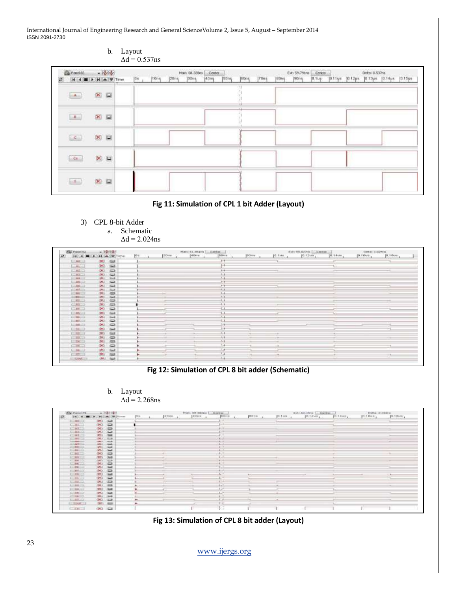| b. Layout                                           | $\Delta d = 0.537$ ns                                                                                                                                                                                                                                                                            |
|-----------------------------------------------------|--------------------------------------------------------------------------------------------------------------------------------------------------------------------------------------------------------------------------------------------------------------------------------------------------|
| $\bullet$ hander<br>By Panel 83<br>H 4 B > H & Time | Delta: 0.537ns<br>Main. 60.328ns<br>Center<br>Ext: 59.791ns Center<br><b>TECHNOLOGY</b><br><b>STATISTICS</b><br><b>USS Dealer</b><br>$ 70n\eta$<br>B0ns<br>10.11ys 10.12ps 10.13ps 10.14ps 10.15ps<br> 20n <br>[40mg]<br><b>Joons</b><br>[0.1]<br> 0n <br>tons<br>150ns<br><b>J90ns</b><br>[30ng |
| 区目<br>$\mathbf{A}$                                  |                                                                                                                                                                                                                                                                                                  |
| 区区<br>$\mathbb{R}^n$                                |                                                                                                                                                                                                                                                                                                  |
| $\otimes$ $\boxtimes$<br>$\vert \leq$               |                                                                                                                                                                                                                                                                                                  |
| <b>×E</b><br>$\alpha$                               |                                                                                                                                                                                                                                                                                                  |
| × E<br>$\mathcal{A}$ .                              |                                                                                                                                                                                                                                                                                                  |



3) CPL 8-bit Adder a. Schematic  $\Delta d = 2.024$ ns

| <b>Hay Present R.A.</b>    | - herben.                    |              |      | Name & L. Stilling | Elevelant.                                |        |         | Ext: 03.827-a [.] Center |           | Geber 3.624m            |           |  |
|----------------------------|------------------------------|--------------|------|--------------------|-------------------------------------------|--------|---------|--------------------------|-----------|-------------------------|-----------|--|
| 141 4 100 (a)              | <b>PALLAS TWO TIMES</b>      | <b>FO</b> or | 20mm | <b>J40HW</b>       | 100110                                    | prove. | 10.9380 | JO.12us                  | [0.14-um] | $10.70 \, \mathrm{keV}$ | [0.5.0um] |  |
| $-444.1$                   | $\equiv$<br>GMT.             |              |      |                    | $^{++}$                                   |        |         |                          |           |                         |           |  |
| <b>LEARNER</b>             | (X)<br><b>Sight</b>          |              |      |                    | 84                                        |        |         |                          |           |                         |           |  |
| CALCO                      | <b>GKI</b><br><b>Sept.</b>   |              |      |                    | <b>F</b>                                  |        |         |                          |           |                         |           |  |
| $1 - 4 + 1$                | ONLY Hard                    |              |      |                    | 11                                        |        |         |                          |           |                         |           |  |
| $-38 - 1$                  | ONE THE                      |              |      |                    | وارد                                      |        |         |                          |           |                         |           |  |
| $-85 -$                    | $-1$<br><b>OKI</b>           |              |      |                    | $3 - 4$                                   |        |         |                          |           |                         |           |  |
| $-36 - 3$                  | (25) Eat                     |              |      |                    | $\rightarrow$                             |        |         |                          |           |                         |           |  |
| $1 - 3 + 1 - 1$            | <b>GREEK</b><br>$3-1$        |              |      |                    | 23                                        |        |         |                          |           |                         |           |  |
| <b>COMMON</b>              | $\overline{1}$<br>OKI.       |              |      |                    | $1 - 4$                                   |        |         |                          |           |                         |           |  |
| 2193113                    | $A=1$<br><b>LORIC</b>        |              |      |                    | $\cdots$                                  |        |         |                          |           |                         |           |  |
| $1 - 162 - 1$              | dillo<br>051                 |              |      |                    | LА                                        |        |         |                          |           |                         |           |  |
| C18202                     | <b>CAST CAST</b>             |              |      |                    | $^{+1}$                                   |        |         |                          |           |                         |           |  |
| <b>ETMA (II)</b>           | $251 - 122$                  |              |      |                    | £.                                        |        |         |                          |           |                         |           |  |
| <b>COMMON</b>              | O(1)                         |              |      |                    | $\mathbf{L}$                              |        |         |                          |           |                         |           |  |
| $1 - 100 - 1$              | OST Sept.                    |              |      |                    |                                           |        |         |                          |           |                         |           |  |
| <b>SHARTHIN</b><br>17,8817 | <b>CALL CAR</b><br>OK! ED    |              |      |                    | SЭ                                        |        |         |                          |           |                         |           |  |
|                            | <b>CIRCLE START</b>          |              |      |                    | $5 - 4$                                   |        |         |                          |           |                         |           |  |
| 1.34                       |                              |              |      |                    |                                           |        |         |                          |           |                         |           |  |
| $1 - 54 - 1$               | OKI INT                      |              |      |                    | 24                                        |        |         |                          |           |                         |           |  |
| $1 - 33 - 3$               | $\infty$ $\infty$            |              |      |                    | 1.1<br>$2 - 8$                            |        |         |                          |           |                         |           |  |
| $1 - 34 - 3$               | <b>State</b><br>OSI.         |              |      |                    |                                           |        |         |                          |           |                         |           |  |
| <b>COMMON</b>              | $-0.01$ $-0.01$              |              |      |                    | L,<br><b>COLLECTION</b><br>$\overline{1}$ |        |         |                          |           |                         |           |  |
| $1.39 - 12$                | OKI SHE                      |              |      |                    |                                           |        |         |                          |           |                         |           |  |
| $-32-1$                    | CALL 1<br>$T_{\text{total}}$ |              |      |                    |                                           |        |         |                          |           |                         |           |  |
| <b>LEOUL</b>               | GMA Gast                     |              |      |                    | 14                                        |        |         |                          |           |                         |           |  |

# **Fig 12: Simulation of CPL 8 bit adder (Schematic)**

b. Layout  $\Delta d = 2.268$ ns



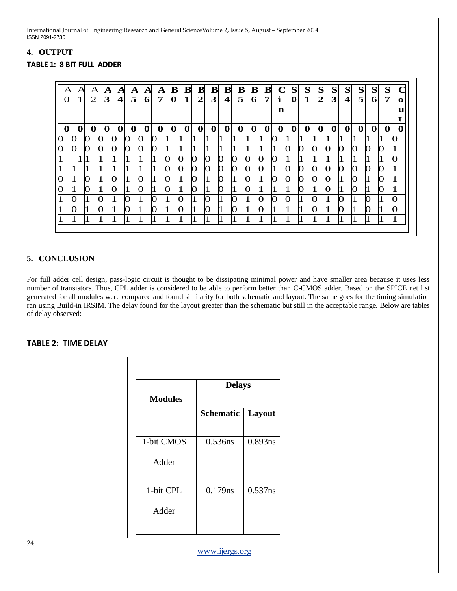# **4. OUTPUT**

#### **TABLE 1: 8 BIT FULL ADDER**

| А | Α<br>$\mathbf{1}$ | Α<br>$\overline{2}$ | $\mathbf{A}$<br>3 | A<br>$\overline{\mathbf{4}}$ | A<br>5       | $\mathbf{A}$<br>6 <sup>1</sup> | A<br>7 | ${\bf B}$<br>$\mathbf 0$ | в<br>$\mathbf 1$ | $\, {\bf B} \,$<br>$\overline{2}$ | ${\bf B}$<br>$\overline{\mathbf{3}}$ | ${\bf B}$<br>$\overline{\mathbf{4}}$ | ${\bf B}$<br>5 | $\bf{B}$<br>6 | $\, {\bf B} \,$<br>$\overline{7}$ | L.<br>$\mathbf{i}$<br>n | S<br>$\mathbf{0}$ | S<br>$\mathbf{1}$ | S<br>$\overline{2}$ | S<br>3 | S<br>$\overline{\mathbf{4}}$ | S<br>5 | S<br>6 <sup>1</sup> | S<br>7       | C<br>$\mathbf o$<br>u<br>t |
|---|-------------------|---------------------|-------------------|------------------------------|--------------|--------------------------------|--------|--------------------------|------------------|-----------------------------------|--------------------------------------|--------------------------------------|----------------|---------------|-----------------------------------|-------------------------|-------------------|-------------------|---------------------|--------|------------------------------|--------|---------------------|--------------|----------------------------|
| 0 | 0                 | 0                   | 0                 | $\mathbf 0$                  | $\mathbf{0}$ | $\mathbf 0$                    | 0      | 0                        | 0                | 0                                 | $\mathbf 0$                          | 0                                    | 0              | 0             | $\mathbf{O}$                      | 0                       | 0                 | 0                 | 0                   | 0      | 0                            | 0      | $\mathbf 0$         | $\mathbf 0$  | 0                          |
|   | 0                 |                     | 0                 | O                            | 0            | Ю                              | 0      |                          |                  |                                   |                                      |                                      |                |               |                                   | O                       |                   |                   |                     |        |                              |        |                     |              |                            |
|   | O                 | 0                   | O                 | O                            | O            | O                              | 0      |                          |                  |                                   |                                      |                                      |                |               |                                   |                         |                   | 0                 | О                   | O      | O                            | Ю      | O                   | $\mathbf{O}$ |                            |
|   |                   |                     |                   |                              |              |                                |        | റ                        | O                | O                                 | O                                    | O                                    | O              | O             | O                                 | Ю                       |                   |                   |                     |        |                              |        |                     |              |                            |
|   |                   |                     |                   |                              |              |                                |        | O                        | O                | O                                 | О                                    | О                                    | O              | O             | O                                 |                         |                   |                   | О                   | O      | O                            | O      | O                   | 0            |                            |
|   |                   | O                   |                   | O                            |              | O                              |        | റ                        |                  | 0                                 |                                      | O                                    |                | $\Omega$      |                                   | O                       |                   | $\Omega$          | 0                   | 0      |                              | O      |                     | റ            |                            |
|   |                   | O                   |                   | O                            |              | O                              |        | O                        |                  | O                                 |                                      | O                                    |                | 0             |                                   |                         |                   |                   |                     | 0      |                              | O      |                     | O            |                            |
|   | O                 |                     | O                 |                              | O            | 1                              | 0      |                          | O                |                                   | 0                                    |                                      | O              |               | O                                 | О                       | 0                 |                   | 0                   |        | 0                            |        | O                   |              | $\Omega$                   |
|   | O                 |                     | O                 |                              | O            | 1                              | О      |                          | O                |                                   | O                                    | 1                                    | O              | 1             | O                                 |                         |                   |                   | O                   |        | O                            |        | O                   | п            | O                          |
|   |                   |                     |                   |                              |              | 1                              |        |                          |                  |                                   |                                      |                                      | 1              |               |                                   |                         |                   |                   | '1                  |        |                              |        | 1                   | T            |                            |

# **5. CONCLUSION**

For full adder cell design, pass-logic circuit is thought to be dissipating minimal power and have smaller area because it uses less number of transistors. Thus, CPL adder is considered to be able to perform better than C-CMOS adder. Based on the SPICE net list generated for all modules were compared and found similarity for both schematic and layout. The same goes for the timing simulation ran using Build-in IRSIM. The delay found for the layout greater than the schematic but still in the acceptable range. Below are tables of delay observed:

#### **TABLE 2: TIME DELAY**

| <b>Modules</b> | <b>Delays</b>    |         |  |  |  |  |  |  |  |  |
|----------------|------------------|---------|--|--|--|--|--|--|--|--|
|                | <b>Schematic</b> | Layout  |  |  |  |  |  |  |  |  |
| 1-bit CMOS     | 0.536ns          | 0.893ns |  |  |  |  |  |  |  |  |
| Adder          |                  |         |  |  |  |  |  |  |  |  |
| 1-bit CPL      | 0.179ns          | 0.537ns |  |  |  |  |  |  |  |  |
| Adder          |                  |         |  |  |  |  |  |  |  |  |